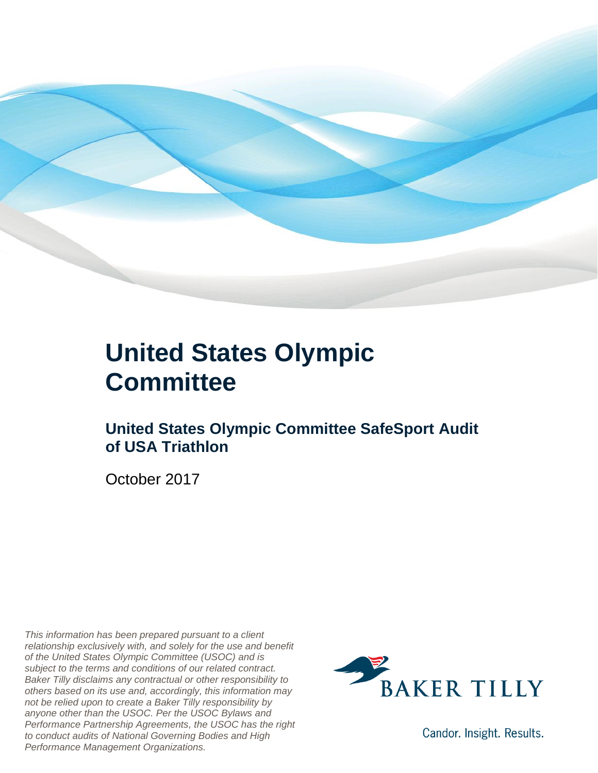

### **United States Olympic Committee**

#### **United States Olympic Committee SafeSport Audit of USA Triathlon**

October 2017

*This information has been prepared pursuant to a client relationship exclusively with, and solely for the use and benefit of the United States Olympic Committee (USOC) and is subject to the terms and conditions of our related contract. Baker Tilly disclaims any contractual or other responsibility to others based on its use and, accordingly, this information may not be relied upon to create a Baker Tilly responsibility by anyone other than the USOC. Per the USOC Bylaws and Performance Partnership Agreements, the USOC has the right to conduct audits of National Governing Bodies and High Performance Management Organizations.*



Candor. Insight. Results.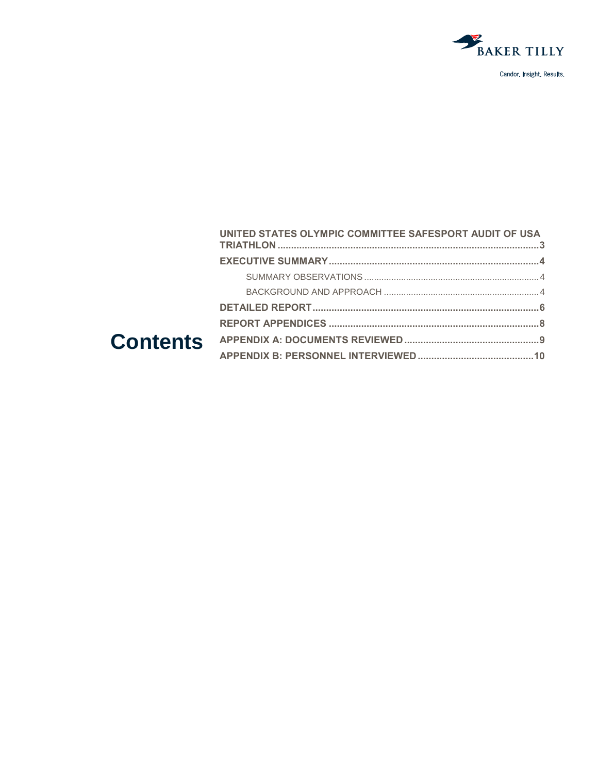

|  | UNITED STATES OLYMPIC COMMITTEE SAFESPORT AUDIT OF USA |  |
|--|--------------------------------------------------------|--|
|  |                                                        |  |
|  |                                                        |  |
|  |                                                        |  |
|  |                                                        |  |
|  |                                                        |  |
|  |                                                        |  |
|  |                                                        |  |
|  |                                                        |  |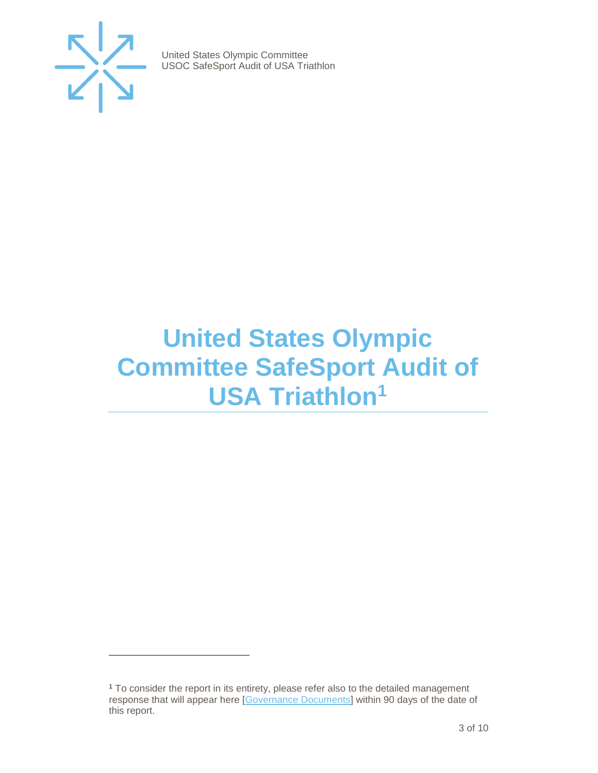

 $\overline{a}$ 

United States Olympic Committee USOC SafeSport Audit of USA Triathlon

## <span id="page-2-0"></span>**United States Olympic Committee SafeSport Audit of USA Triathlon<sup>1</sup>**

<sup>1</sup> To consider the report in its entirety, please refer also to the detailed management response that will appear here [\[Governance Documents\]](https://www.teamusa.org/Footer/Legal/Governance-Documents) within 90 days of the date of this report.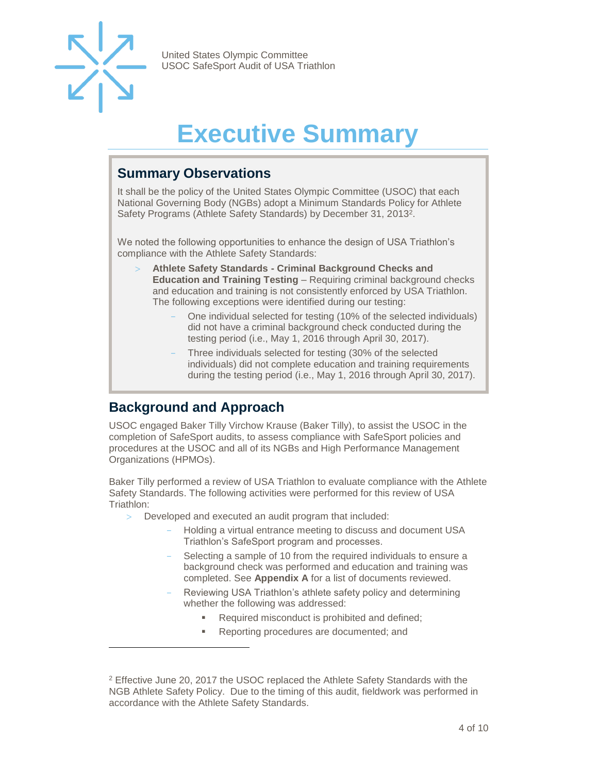

 $\overline{a}$ 

United States Olympic Committee USOC SafeSport Audit of USA Triathlon

# **Executive Summary**

#### <span id="page-3-1"></span><span id="page-3-0"></span>**Summary Observations**

It shall be the policy of the United States Olympic Committee (USOC) that each National Governing Body (NGBs) adopt a Minimum Standards Policy for Athlete Safety Programs (Athlete Safety Standards) by December 31, 2013<sup>2</sup>.

We noted the following opportunities to enhance the design of USA Triathlon's compliance with the Athlete Safety Standards:

- **Athlete Safety Standards - Criminal Background Checks and Education and Training Testing** – Requiring criminal background checks and education and training is not consistently enforced by USA Triathlon. The following exceptions were identified during our testing:
	- One individual selected for testing (10% of the selected individuals) did not have a criminal background check conducted during the testing period (i.e., May 1, 2016 through April 30, 2017).
	- Three individuals selected for testing (30% of the selected individuals) did not complete education and training requirements during the testing period (i.e., May 1, 2016 through April 30, 2017).

#### <span id="page-3-2"></span>**Background and Approach**

USOC engaged Baker Tilly Virchow Krause (Baker Tilly), to assist the USOC in the completion of SafeSport audits, to assess compliance with SafeSport policies and procedures at the USOC and all of its NGBs and High Performance Management Organizations (HPMOs).

Baker Tilly performed a review of USA Triathlon to evaluate compliance with the Athlete Safety Standards. The following activities were performed for this review of USA Triathlon:

- Developed and executed an audit program that included:
	- Holding a virtual entrance meeting to discuss and document USA Triathlon's SafeSport program and processes.
	- Selecting a sample of 10 from the required individuals to ensure a background check was performed and education and training was completed. See **Appendix A** for a list of documents reviewed.
	- Reviewing USA Triathlon's athlete safety policy and determining whether the following was addressed:
		- Required misconduct is prohibited and defined;
		- Reporting procedures are documented; and

<sup>2</sup> Effective June 20, 2017 the USOC replaced the Athlete Safety Standards with the NGB Athlete Safety Policy. Due to the timing of this audit, fieldwork was performed in accordance with the Athlete Safety Standards.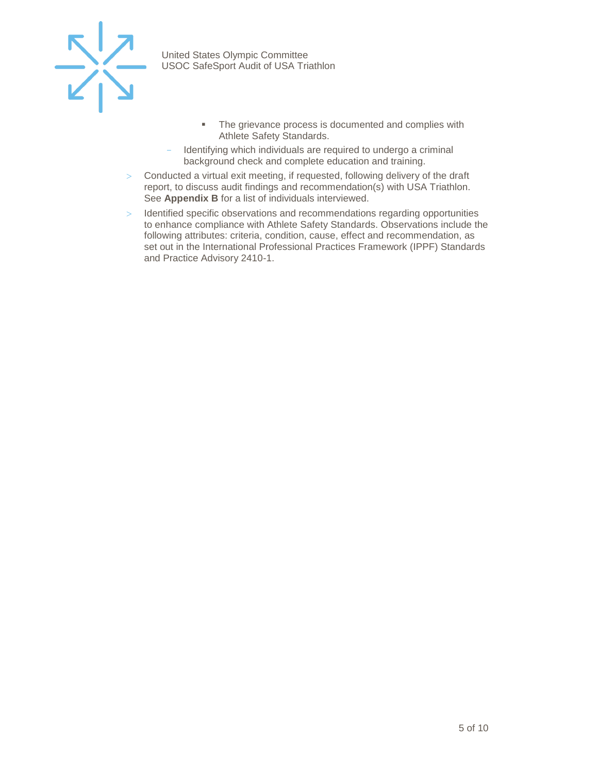

- **•** The grievance process is documented and complies with Athlete Safety Standards.
- Identifying which individuals are required to undergo a criminal background check and complete education and training.
- Conducted a virtual exit meeting, if requested, following delivery of the draft report, to discuss audit findings and recommendation(s) with USA Triathlon. See **Appendix B** for a list of individuals interviewed.
- > Identified specific observations and recommendations regarding opportunities to enhance compliance with Athlete Safety Standards. Observations include the following attributes: criteria, condition, cause, effect and recommendation, as set out in the International Professional Practices Framework (IPPF) Standards and Practice Advisory 2410-1.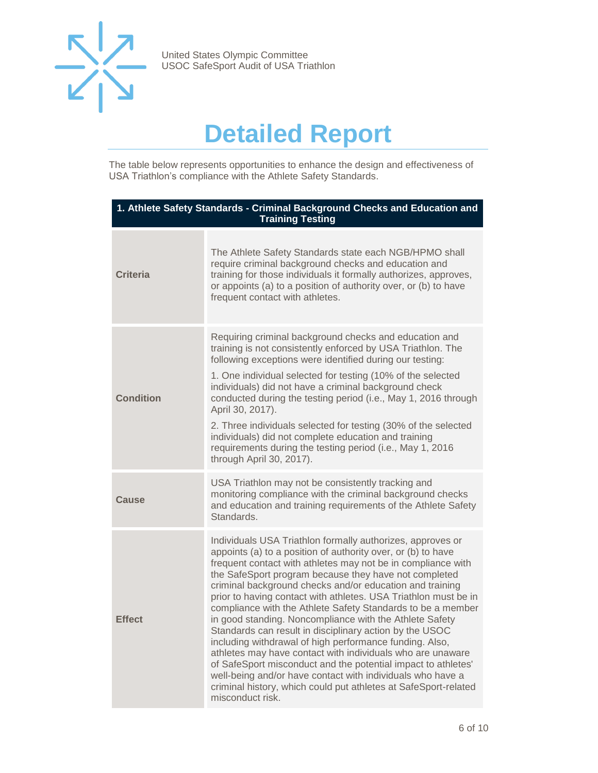

## **Detailed Report**

<span id="page-5-0"></span>The table below represents opportunities to enhance the design and effectiveness of USA Triathlon's compliance with the Athlete Safety Standards.

| 1. Athlete Safety Standards - Criminal Background Checks and Education and<br><b>Training Testing</b> |                                                                                                                                                                                                                                                                                                                                                                                                                                                                                                                                                                                                                                                                                                                                                                                                                                                                                                                        |  |
|-------------------------------------------------------------------------------------------------------|------------------------------------------------------------------------------------------------------------------------------------------------------------------------------------------------------------------------------------------------------------------------------------------------------------------------------------------------------------------------------------------------------------------------------------------------------------------------------------------------------------------------------------------------------------------------------------------------------------------------------------------------------------------------------------------------------------------------------------------------------------------------------------------------------------------------------------------------------------------------------------------------------------------------|--|
| <b>Criteria</b>                                                                                       | The Athlete Safety Standards state each NGB/HPMO shall<br>require criminal background checks and education and<br>training for those individuals it formally authorizes, approves,<br>or appoints (a) to a position of authority over, or (b) to have<br>frequent contact with athletes.                                                                                                                                                                                                                                                                                                                                                                                                                                                                                                                                                                                                                               |  |
| <b>Condition</b>                                                                                      | Requiring criminal background checks and education and<br>training is not consistently enforced by USA Triathlon. The<br>following exceptions were identified during our testing:<br>1. One individual selected for testing (10% of the selected<br>individuals) did not have a criminal background check<br>conducted during the testing period (i.e., May 1, 2016 through<br>April 30, 2017).<br>2. Three individuals selected for testing (30% of the selected<br>individuals) did not complete education and training<br>requirements during the testing period (i.e., May 1, 2016<br>through April 30, 2017).                                                                                                                                                                                                                                                                                                     |  |
| Cause                                                                                                 | USA Triathlon may not be consistently tracking and<br>monitoring compliance with the criminal background checks<br>and education and training requirements of the Athlete Safety<br>Standards.                                                                                                                                                                                                                                                                                                                                                                                                                                                                                                                                                                                                                                                                                                                         |  |
| <b>Effect</b>                                                                                         | Individuals USA Triathlon formally authorizes, approves or<br>appoints (a) to a position of authority over, or (b) to have<br>frequent contact with athletes may not be in compliance with<br>the SafeSport program because they have not completed<br>criminal background checks and/or education and training<br>prior to having contact with athletes. USA Triathlon must be in<br>compliance with the Athlete Safety Standards to be a member<br>in good standing. Noncompliance with the Athlete Safety<br>Standards can result in disciplinary action by the USOC<br>including withdrawal of high performance funding. Also,<br>athletes may have contact with individuals who are unaware<br>of SafeSport misconduct and the potential impact to athletes'<br>well-being and/or have contact with individuals who have a<br>criminal history, which could put athletes at SafeSport-related<br>misconduct risk. |  |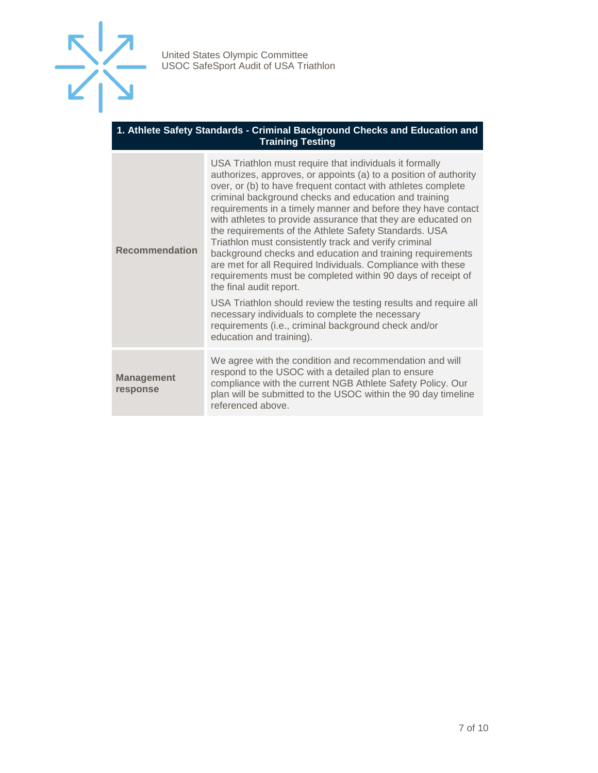

#### **1. Athlete Safety Standards - Criminal Background Checks and Education and Training Testing**

| <b>Recommendation</b>         | USA Triathlon must require that individuals it formally<br>authorizes, approves, or appoints (a) to a position of authority<br>over, or (b) to have frequent contact with athletes complete<br>criminal background checks and education and training<br>requirements in a timely manner and before they have contact<br>with athletes to provide assurance that they are educated on<br>the requirements of the Athlete Safety Standards. USA<br>Triathlon must consistently track and verify criminal<br>background checks and education and training requirements<br>are met for all Required Individuals. Compliance with these<br>requirements must be completed within 90 days of receipt of<br>the final audit report.<br>USA Triathlon should review the testing results and require all<br>necessary individuals to complete the necessary<br>requirements (i.e., criminal background check and/or<br>education and training). |
|-------------------------------|----------------------------------------------------------------------------------------------------------------------------------------------------------------------------------------------------------------------------------------------------------------------------------------------------------------------------------------------------------------------------------------------------------------------------------------------------------------------------------------------------------------------------------------------------------------------------------------------------------------------------------------------------------------------------------------------------------------------------------------------------------------------------------------------------------------------------------------------------------------------------------------------------------------------------------------|
|                               |                                                                                                                                                                                                                                                                                                                                                                                                                                                                                                                                                                                                                                                                                                                                                                                                                                                                                                                                        |
| <b>Management</b><br>response | We agree with the condition and recommendation and will<br>respond to the USOC with a detailed plan to ensure<br>compliance with the current NGB Athlete Safety Policy. Our<br>plan will be submitted to the USOC within the 90 day timeline<br>referenced above.                                                                                                                                                                                                                                                                                                                                                                                                                                                                                                                                                                                                                                                                      |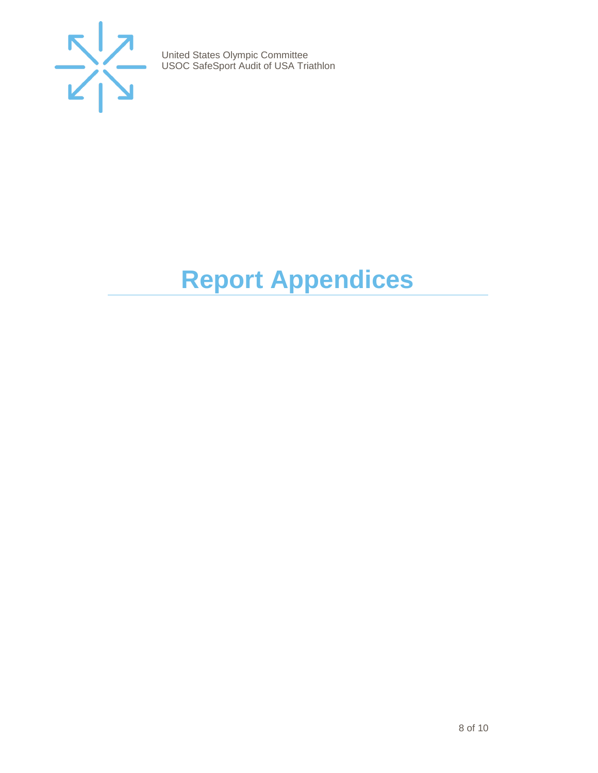

# <span id="page-7-0"></span>**Report Appendices**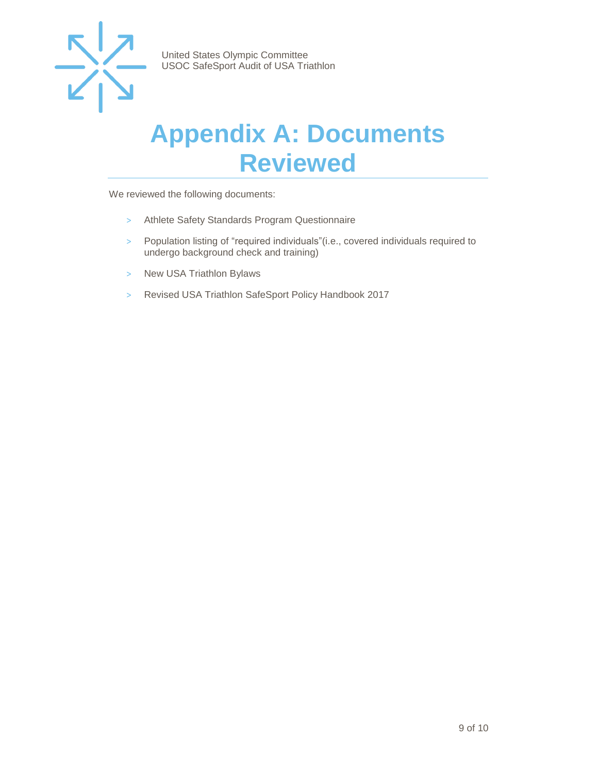

### <span id="page-8-0"></span>**Appendix A: Documents Reviewed**

We reviewed the following documents:

- > Athlete Safety Standards Program Questionnaire
- > Population listing of "required individuals"(i.e., covered individuals required to undergo background check and training)
- > New USA Triathlon Bylaws
- > Revised USA Triathlon SafeSport Policy Handbook 2017